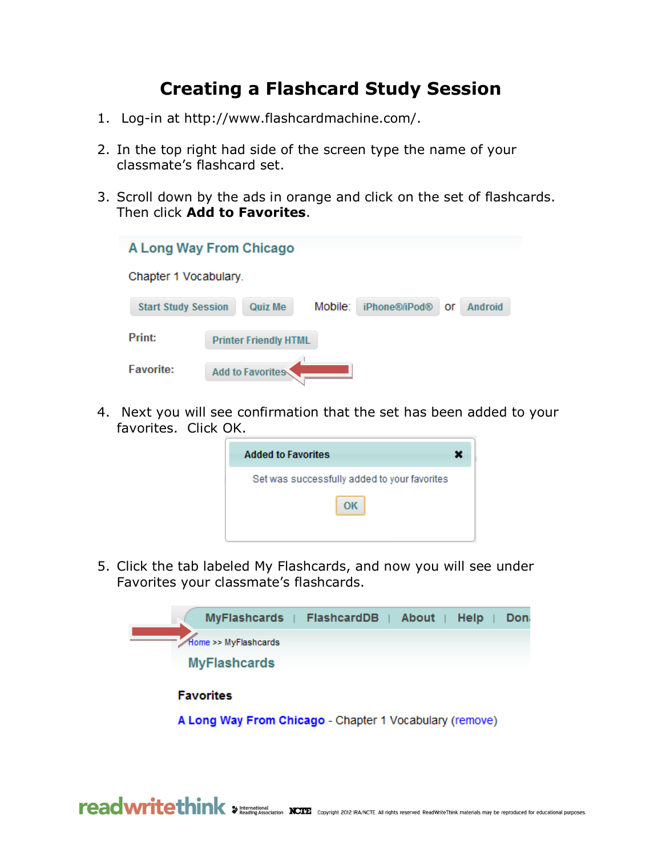## **Creating a Flashcard Study Session**

- 1. Log-in at http://www.flashcardmachine.com/.
- 2. In the top right had side of the screen type the name of your classmate's flashcard set.
- 3. Scroll down by the ads in orange and click on the set of flashcards. Then click **Add to Favorites**.

| A Long Way From Chicago    |                                                             |  |  |  |  |  |  |  |  |
|----------------------------|-------------------------------------------------------------|--|--|--|--|--|--|--|--|
| Chapter 1 Vocabulary.      |                                                             |  |  |  |  |  |  |  |  |
| <b>Start Study Session</b> | Mobile:<br>iPhone®/iPod®<br><b>Quiz Me</b><br>Android<br>or |  |  |  |  |  |  |  |  |
| Print:                     | <b>Printer Friendly HTML</b>                                |  |  |  |  |  |  |  |  |
| <b>Favorite:</b>           | Add to Favorites                                            |  |  |  |  |  |  |  |  |

4. Next you will see confirmation that the set has been added to your favorites. Click OK.

5. Click the tab labeled My Flashcards, and now you will see under Favorites your classmate's flashcards.



A Long Way From Chicago - Chapter 1 Vocabulary (remove)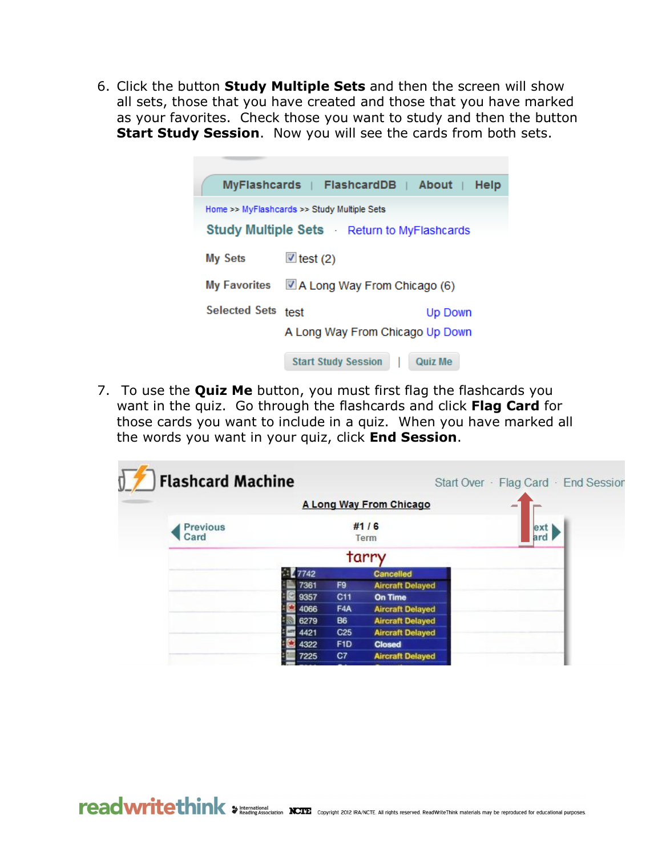6. Click the button **Study Multiple Sets** and then the screen will show all sets, those that you have created and those that you have marked as your favorites. Check those you want to study and then the button **Start Study Session.** Now you will see the cards from both sets.

|                                                   | $MyFlasheards$   FlashcardDB    | About 1<br>Help |  |  |  |  |  |
|---------------------------------------------------|---------------------------------|-----------------|--|--|--|--|--|
| Home >> MyFlashcards >> Study Multiple Sets       |                                 |                 |  |  |  |  |  |
| <b>Study Multiple Sets</b> Return to MyFlashcards |                                 |                 |  |  |  |  |  |
| <b>My Sets</b>                                    | $\mathbb{Z}$ test (2)           |                 |  |  |  |  |  |
| <b>My Favorites</b>                               | A Long Way From Chicago (6)     |                 |  |  |  |  |  |
| <b>Selected Sets</b>                              | test                            | Up Down         |  |  |  |  |  |
|                                                   | A Long Way From Chicago Up Down |                 |  |  |  |  |  |
|                                                   | <b>Start Study Session</b>      | <b>Quiz Me</b>  |  |  |  |  |  |

7. To use the **Quiz Me** button, you must first flag the flashcards you want in the quiz. Go through the flashcards and click **Flag Card** for those cards you want to include in a quiz. When you have marked all the words you want in your quiz, click **End Session**.

|                         |      |                 | A Long Way From Chicago | <b>AND</b> |
|-------------------------|------|-----------------|-------------------------|------------|
| <b>Previous</b><br>Card |      |                 | #1/6<br>Term            | ext<br>ard |
|                         |      |                 | tarry                   |            |
|                         | 7742 |                 | <b>Cancelled</b>        |            |
|                         | 7361 | F9              | <b>Aircraft Delayed</b> |            |
|                         | 9357 | C <sub>11</sub> | <b>On Time</b>          |            |
|                         | 4066 | F4A             | <b>Aircraft Delayed</b> |            |
|                         | 6279 | <b>B6</b>       | <b>Aircraft Delayed</b> |            |
|                         | 4421 | C <sub>25</sub> | <b>Aircraft Delayed</b> |            |
|                         | 4322 | F <sub>1D</sub> | <b>Closed</b>           |            |
|                         | 7225 | C7              | <b>Aircraft Delayed</b> |            |
|                         |      |                 |                         |            |

reading Association NCIE Copyright 2012 RA/NCTE. All rights reserved. ReadWriteThink materials may be reproduced for educational purposes.